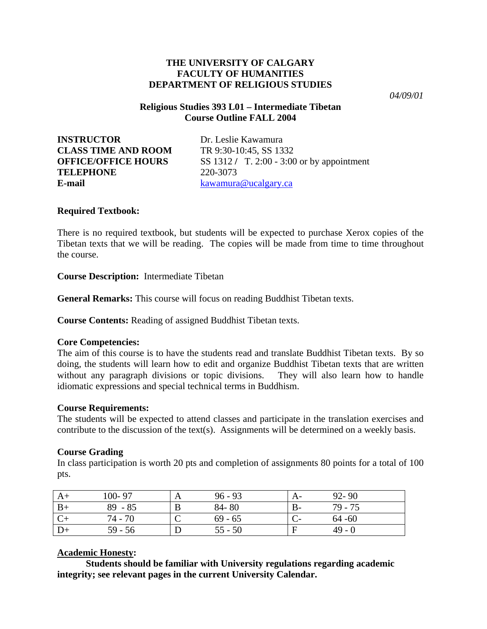## **THE UNIVERSITY OF CALGARY FACULTY OF HUMANITIES DEPARTMENT OF RELIGIOUS STUDIES**

*04/09/01* 

# **Religious Studies 393 L01 – Intermediate Tibetan Course Outline FALL 2004**

**INSTRUCTOR** Dr. Leslie Kawamura **CLASS TIME AND ROOM** TR 9:30-10:45, SS 1332 **TELEPHONE** 220-3073 **E-mail** [kawamura@ucalgary.ca](mailto:kawamura@ucalgary.ca) 

**OFFICE/OFFICE HOURS** SS 1312 **/** T. 2:00 - 3:00 or by appointment

# **Required Textbook:**

There is no required textbook, but students will be expected to purchase Xerox copies of the Tibetan texts that we will be reading. The copies will be made from time to time throughout the course.

**Course Description:** Intermediate Tibetan

**General Remarks:** This course will focus on reading Buddhist Tibetan texts.

**Course Contents:** Reading of assigned Buddhist Tibetan texts.

## **Core Competencies:**

The aim of this course is to have the students read and translate Buddhist Tibetan texts. By so doing, the students will learn how to edit and organize Buddhist Tibetan texts that are written without any paragraph divisions or topic divisions. They will also learn how to handle idiomatic expressions and special technical terms in Buddhism.

## **Course Requirements:**

The students will be expected to attend classes and participate in the translation exercises and contribute to the discussion of the text(s). Assignments will be determined on a weekly basis.

# **Course Grading**

In class participation is worth 20 pts and completion of assignments 80 points for a total of 100 pts.

| 100-97    | A | $96 - 93$ | $92 - 90$ |
|-----------|---|-----------|-----------|
| $89 - 85$ | B | $84 - 80$ | $79 - 75$ |
| 74 - 70   |   | $69 - 65$ | $64 - 60$ |
| $59 - 56$ |   | $55 - 50$ | $49 - 0$  |

# **Academic Honesty:**

 **Students should be familiar with University regulations regarding academic integrity; see relevant pages in the current University Calendar.**